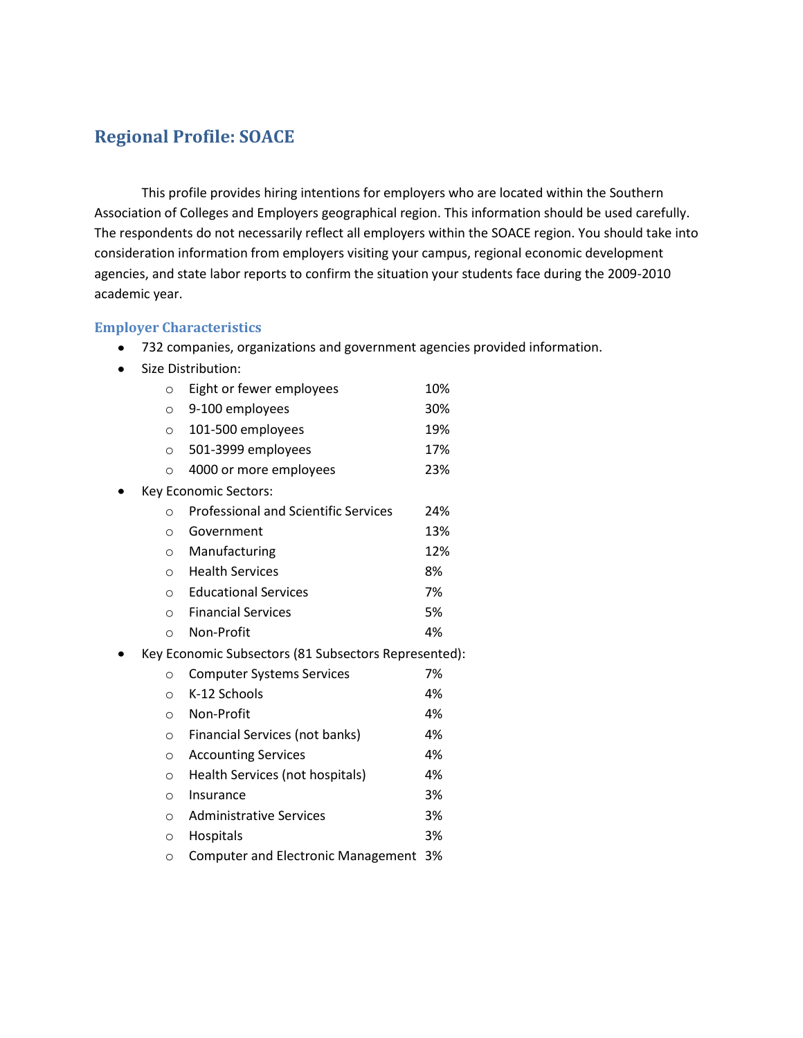## **Regional Profile: SOACE**

This profile provides hiring intentions for employers who are located within the Southern Association of Colleges and Employers geographical region. This information should be used carefully. The respondents do not necessarily reflect all employers within the SOACE region. You should take into consideration information from employers visiting your campus, regional economic development agencies, and state labor reports to confirm the situation your students face during the 2009-2010 academic year.

#### **Employer Characteristics**

- 732 companies, organizations and government agencies provided information.
- Size Distribution:

| $\circ$  | Eight or fewer employees                             | 10% |
|----------|------------------------------------------------------|-----|
| $\circ$  | 9-100 employees                                      | 30% |
| $\circ$  | 101-500 employees                                    | 19% |
| $\circ$  | 501-3999 employees                                   | 17% |
| $\circ$  | 4000 or more employees                               | 23% |
|          | Key Economic Sectors:                                |     |
| ∩        | <b>Professional and Scientific Services</b>          | 24% |
| $\circ$  | Government                                           | 13% |
| $\circ$  | Manufacturing                                        | 12% |
| $\circ$  | <b>Health Services</b>                               | 8%  |
|          | <b>Educational Services</b><br>$\circ$               | 7%  |
| $\Omega$ | <b>Financial Services</b>                            | 5%  |
| $\Omega$ | Non-Profit                                           | 4%  |
|          | Key Economic Subsectors (81 Subsectors Represented): |     |
| $\circ$  | <b>Computer Systems Services</b>                     | 7%  |
| $\Omega$ | K-12 Schools                                         | 4%  |
| $\circ$  | Non-Profit                                           | 4%  |
| $\circ$  | Financial Services (not banks)                       | 4%  |
| $\Omega$ | <b>Accounting Services</b>                           | 4%  |
| $\Omega$ | Health Services (not hospitals)                      | 4%  |
|          |                                                      |     |

- o Insurance 3%
- o Administrative Services 3%
- o Hospitals 3%
- o Computer and Electronic Management 3%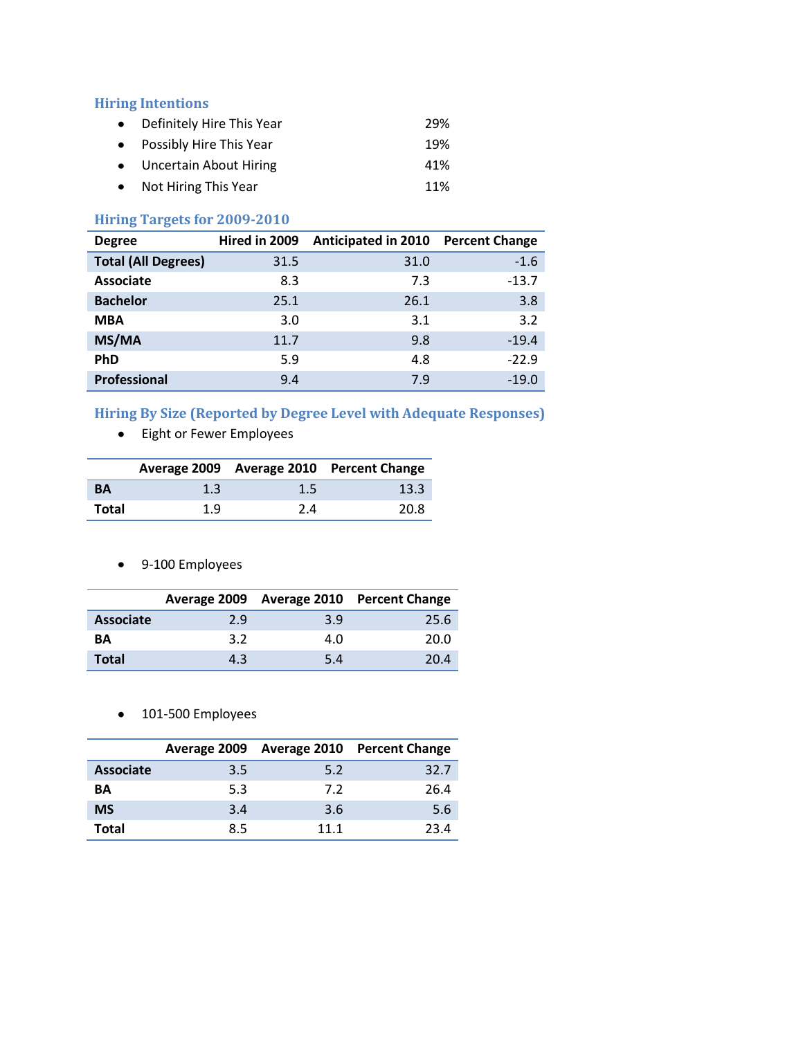#### **Hiring Intentions**

| • Definitely Hire This Year | 29% |
|-----------------------------|-----|
| • Possibly Hire This Year   | 19% |
| • Uncertain About Hiring    | 41% |
| • Not Hiring This Year      | 11% |

## **Hiring Targets for 2009-2010**

| <b>Degree</b>              | Hired in 2009 | Anticipated in 2010 Percent Change |         |
|----------------------------|---------------|------------------------------------|---------|
| <b>Total (All Degrees)</b> | 31.5          | 31.0                               | $-1.6$  |
| <b>Associate</b>           | 8.3           | 7.3                                | $-13.7$ |
| <b>Bachelor</b>            | 25.1          | 26.1                               | 3.8     |
| <b>MBA</b>                 | 3.0           | 3.1                                | 3.2     |
| MS/MA                      | 11.7          | 9.8                                | $-19.4$ |
| <b>PhD</b>                 | 5.9           | 4.8                                | $-22.9$ |
| Professional               | 9.4           | 7.9                                | $-19.0$ |

# **Hiring By Size (Reported by Degree Level with Adequate Responses)**

Eight or Fewer Employees

|           |     |     | Average 2009 Average 2010 Percent Change |
|-----------|-----|-----|------------------------------------------|
| <b>BA</b> | 1.3 | 1.5 | 13.3                                     |
| Total     | 1.9 | 2.4 | 20.8                                     |

9-100 Employees

|                  |     |     | Average 2009 Average 2010 Percent Change |
|------------------|-----|-----|------------------------------------------|
| <b>Associate</b> | 2.9 | 3.9 | 25.6                                     |
| <b>BA</b>        | 3.2 | 4.0 | 20.0                                     |
| <b>Total</b>     | 4.3 | 5.4 | 20.4                                     |

• 101-500 Employees

|                  |     |      | Average 2009 Average 2010 Percent Change |
|------------------|-----|------|------------------------------------------|
| <b>Associate</b> | 3.5 | 5.2  | 32.7                                     |
| ΒA               | 5.3 | 7.2  | 26.4                                     |
| <b>MS</b>        | 3.4 | 3.6  | 5.6                                      |
| Total            | 8.5 | 11 1 | 23 A                                     |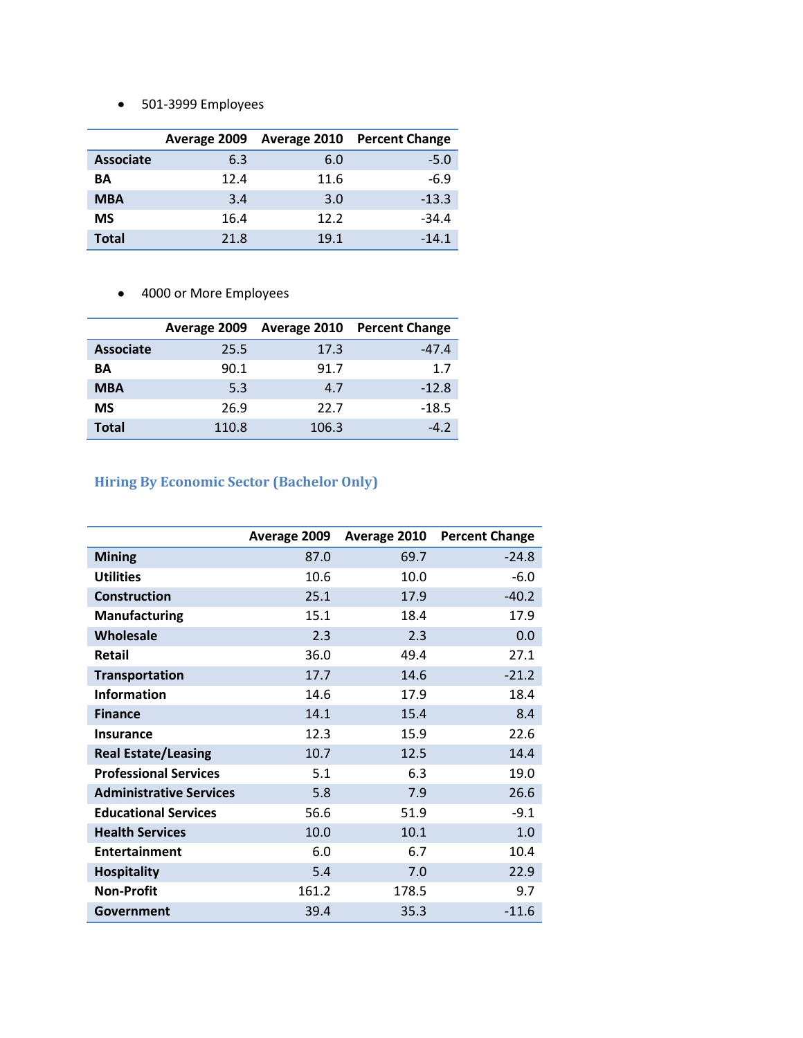501-3999 Employees

|                  | Average 2009 |      | <b>Average 2010 Percent Change</b> |
|------------------|--------------|------|------------------------------------|
| <b>Associate</b> | 6.3          | 6.0  | $-5.0$                             |
| ΒA               | 12.4         | 11.6 | $-6.9$                             |
| <b>MBA</b>       | 3.4          | 3.0  | $-13.3$                            |
| <b>MS</b>        | 16.4         | 12.2 | $-34.4$                            |
| Total            | 21.8         | 19.1 | $-14.1$                            |

4000 or More Employees

|                  | Average 2009 |       | <b>Average 2010 Percent Change</b> |
|------------------|--------------|-------|------------------------------------|
| <b>Associate</b> | 25.5         | 17.3  | $-47.4$                            |
| ΒA               | 90.1         | 91.7  | 1.7                                |
| <b>MBA</b>       | 5.3          | 4.7   | $-12.8$                            |
| ΜS               | 26.9         | 22.7  | $-18.5$                            |
| <b>Total</b>     | 110.8        | 106.3 | $-4.2$                             |

## **Hiring By Economic Sector (Bachelor Only)**

|                                | Average 2009 | Average 2010 | <b>Percent Change</b> |
|--------------------------------|--------------|--------------|-----------------------|
| <b>Mining</b>                  | 87.0         | 69.7         | $-24.8$               |
| <b>Utilities</b>               | 10.6         | 10.0         | $-6.0$                |
| <b>Construction</b>            | 25.1         | 17.9         | $-40.2$               |
| Manufacturing                  | 15.1         | 18.4         | 17.9                  |
| Wholesale                      | 2.3          | 2.3          | 0.0                   |
| <b>Retail</b>                  | 36.0         | 49.4         | 27.1                  |
| <b>Transportation</b>          | 17.7         | 14.6         | $-21.2$               |
| <b>Information</b>             | 14.6         | 17.9         | 18.4                  |
| <b>Finance</b>                 | 14.1         | 15.4         | 8.4                   |
| <b>Insurance</b>               | 12.3         | 15.9         | 22.6                  |
| <b>Real Estate/Leasing</b>     | 10.7         | 12.5         | 14.4                  |
| <b>Professional Services</b>   | 5.1          | 6.3          | 19.0                  |
| <b>Administrative Services</b> | 5.8          | 7.9          | 26.6                  |
| <b>Educational Services</b>    | 56.6         | 51.9         | $-9.1$                |
| <b>Health Services</b>         | 10.0         | 10.1         | 1.0                   |
| <b>Entertainment</b>           | 6.0          | 6.7          | 10.4                  |
| <b>Hospitality</b>             | 5.4          | 7.0          | 22.9                  |
| <b>Non-Profit</b>              | 161.2        | 178.5        | 9.7                   |
| Government                     | 39.4         | 35.3         | $-11.6$               |